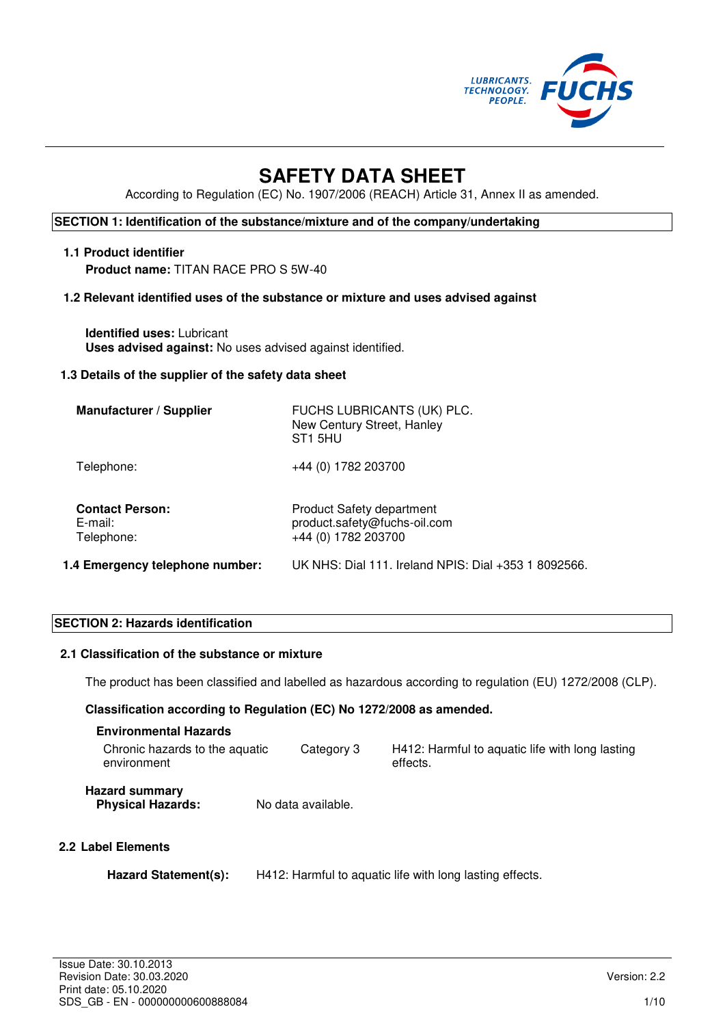

# **SAFETY DATA SHEET**

According to Regulation (EC) No. 1907/2006 (REACH) Article 31, Annex II as amended.

## **SECTION 1: Identification of the substance/mixture and of the company/undertaking**

# **1.1 Product identifier**

**Product name:** TITAN RACE PRO S 5W-40

#### **1.2 Relevant identified uses of the substance or mixture and uses advised against**

**Identified uses:** Lubricant **Uses advised against:** No uses advised against identified.

#### **1.3 Details of the supplier of the safety data sheet**

| <b>Manufacturer / Supplier</b>                  | FUCHS LUBRICANTS (UK) PLC.<br>New Century Street, Hanley<br>ST <sub>1</sub> 5HU         |
|-------------------------------------------------|-----------------------------------------------------------------------------------------|
| Telephone:                                      | +44 (0) 1782 203700                                                                     |
| <b>Contact Person:</b><br>E-mail:<br>Telephone: | <b>Product Safety department</b><br>product.safety@fuchs-oil.com<br>+44 (0) 1782 203700 |
| 1.4 Emergency telephone number:                 | UK NHS: Dial 111. Ireland NPIS: Dial +353 1 8092566.                                    |

## **SECTION 2: Hazards identification**

#### **2.1 Classification of the substance or mixture**

The product has been classified and labelled as hazardous according to regulation (EU) 1272/2008 (CLP).

#### **Classification according to Regulation (EC) No 1272/2008 as amended.**

| <b>Environmental Hazards</b>                      |                    |                                                             |
|---------------------------------------------------|--------------------|-------------------------------------------------------------|
| Chronic hazards to the aquatic<br>environment     | Category 3         | H412: Harmful to aquatic life with long lasting<br>effects. |
| <b>Hazard summary</b><br><b>Physical Hazards:</b> | No data available. |                                                             |
| ahal Flamante                                     |                    |                                                             |

## **2.2 Label Elements**

| Hazard Statement(s): | H412: Harmful to aquatic life with long lasting effects. |
|----------------------|----------------------------------------------------------|
|----------------------|----------------------------------------------------------|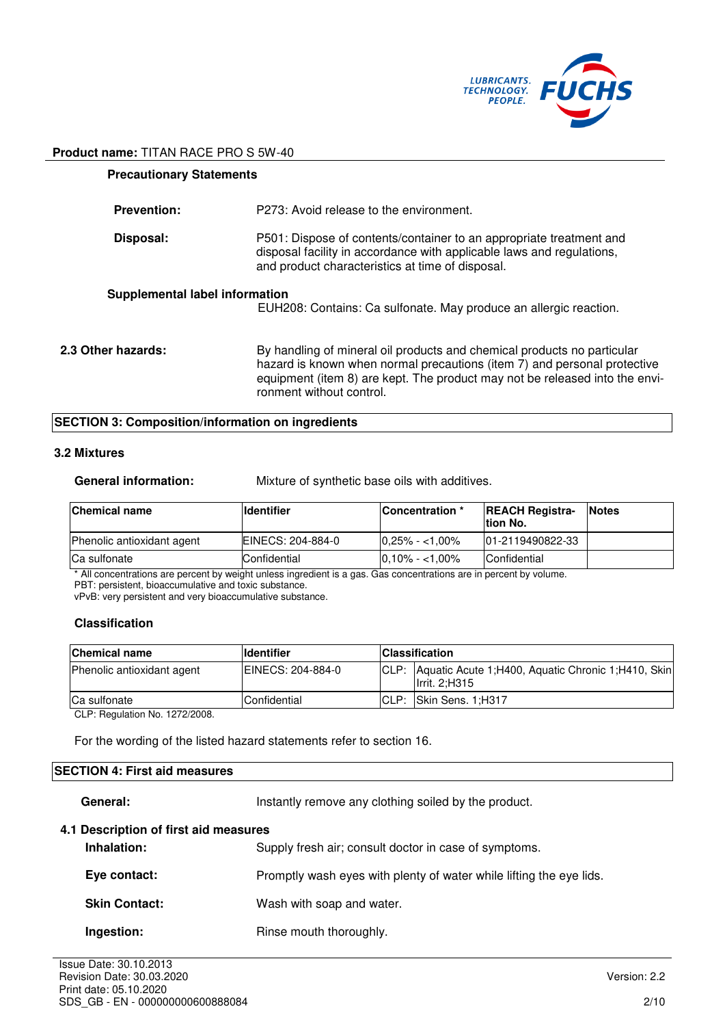

| <b>Precautionary Statements</b> |                                                                                                                                                                                                                                                                |
|---------------------------------|----------------------------------------------------------------------------------------------------------------------------------------------------------------------------------------------------------------------------------------------------------------|
| <b>Prevention:</b>              | P273: Avoid release to the environment.                                                                                                                                                                                                                        |
| Disposal:                       | P501: Dispose of contents/container to an appropriate treatment and<br>disposal facility in accordance with applicable laws and regulations,<br>and product characteristics at time of disposal.                                                               |
| Supplemental label information  | EUH208: Contains: Ca sulfonate. May produce an allergic reaction.                                                                                                                                                                                              |
| 2.3 Other hazards:              | By handling of mineral oil products and chemical products no particular<br>hazard is known when normal precautions (item 7) and personal protective<br>equipment (item 8) are kept. The product may not be released into the envi-<br>ronment without control. |

## **SECTION 3: Composition/information on ingredients**

#### **3.2 Mixtures**

| <b>General information:</b> | Mixture of synthetic base oils with additives. |
|-----------------------------|------------------------------------------------|
|                             |                                                |

| <b>Chemical name</b>              | <b>Identifier</b> | Concentration *    | <b>REACH Registra-</b><br>Ition No. | <b>Notes</b> |
|-----------------------------------|-------------------|--------------------|-------------------------------------|--------------|
| <b>Phenolic antioxidant agent</b> | EINECS: 204-884-0 | $10.25\% - 1.00\%$ | 101-2119490822-33                   |              |
| <b>Ca sulfonate</b>               | Confidential      | $10.10\% - 1.00\%$ | Confidential                        |              |

\* All concentrations are percent by weight unless ingredient is a gas. Gas concentrations are in percent by volume.

PBT: persistent, bioaccumulative and toxic substance.

vPvB: very persistent and very bioaccumulative substance.

## **Classification**

| <b>Chemical name</b>       | <b>Identifier</b>   |       | <b>Classification</b>                                                       |
|----------------------------|---------------------|-------|-----------------------------------------------------------------------------|
| Phenolic antioxidant agent | IEINECS: 204-884-0  | ICLP: | Aquatic Acute 1:H400, Aquatic Chronic 1:H410, Skin<br><b>Ilrrit. 2:H315</b> |
| <b>Ca sulfonate</b>        | <b>Confidential</b> | CLP:  | <b>Skin Sens. 1:H317</b>                                                    |

CLP: Regulation No. 1272/2008.

For the wording of the listed hazard statements refer to section 16.

## **SECTION 4: First aid measures**

General: **Instantly remove any clothing soiled by the product.** 

#### **4.1 Description of first aid measures**

| Inhalation:  | Supply fresh air; consult doctor in case of symptoms.               |
|--------------|---------------------------------------------------------------------|
| Eye contact: | Promptly wash eyes with plenty of water while lifting the eye lids. |

**Skin Contact:** Wash with soap and water.

**Ingestion: Rinse mouth thoroughly.**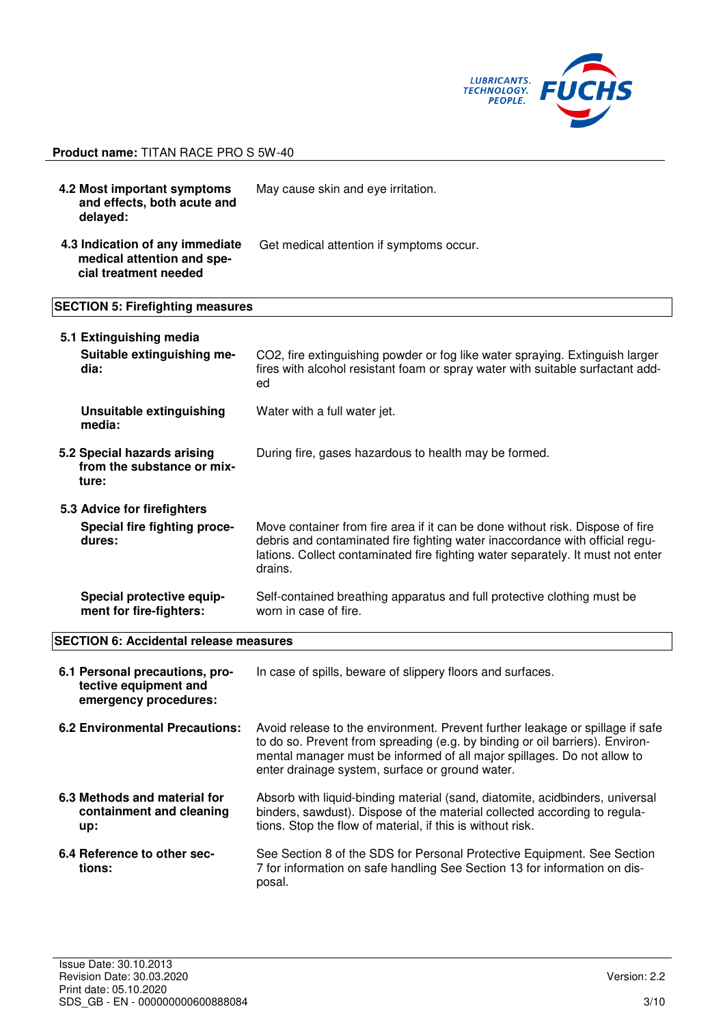

**4.2 Most important symptoms and effects, both acute and delayed:**  May cause skin and eye irritation. **4.3 Indication of any immediate medical attention and special treatment needed** Get medical attention if symptoms occur. **SECTION 5: Firefighting measures 5.1 Extinguishing media Suitable extinguishing me-**CO2, fire extinguishing powder or fog like water spraying. Extinguish larger

| dia:                                                                  | fires with alcohol resistant foam or spray water with suitable surfactant add-<br>ed                                                                                                                                                                        |
|-----------------------------------------------------------------------|-------------------------------------------------------------------------------------------------------------------------------------------------------------------------------------------------------------------------------------------------------------|
| Unsuitable extinguishing<br>media:                                    | Water with a full water jet.                                                                                                                                                                                                                                |
| 5.2 Special hazards arising<br>from the substance or mix-<br>ture:    | During fire, gases hazardous to health may be formed.                                                                                                                                                                                                       |
| 5.3 Advice for firefighters<br>Special fire fighting proce-<br>dures: | Move container from fire area if it can be done without risk. Dispose of fire<br>debris and contaminated fire fighting water inaccordance with official regu-<br>lations. Collect contaminated fire fighting water separately. It must not enter<br>drains. |
| Special protective equip-                                             | Self-contained breathing apparatus and full protective clothing must be                                                                                                                                                                                     |

worn in case of fire.

#### **SECTION 6: Accidental release measures**

**ment for fire-fighters:** 

| 6.1 Personal precautions, pro-<br>tective equipment and<br>emergency procedures: | In case of spills, beware of slippery floors and surfaces.                                                                                                                                                                                                                                  |
|----------------------------------------------------------------------------------|---------------------------------------------------------------------------------------------------------------------------------------------------------------------------------------------------------------------------------------------------------------------------------------------|
| 6.2 Environmental Precautions:                                                   | Avoid release to the environment. Prevent further leakage or spillage if safe<br>to do so. Prevent from spreading (e.g. by binding or oil barriers). Environ-<br>mental manager must be informed of all major spillages. Do not allow to<br>enter drainage system, surface or ground water. |
| 6.3 Methods and material for<br>containment and cleaning<br>up:                  | Absorb with liquid-binding material (sand, diatomite, acidbinders, universal<br>binders, sawdust). Dispose of the material collected according to regula-<br>tions. Stop the flow of material, if this is without risk.                                                                     |
| 6.4 Reference to other sec-<br>tions:                                            | See Section 8 of the SDS for Personal Protective Equipment. See Section<br>7 for information on safe handling See Section 13 for information on dis-<br>posal.                                                                                                                              |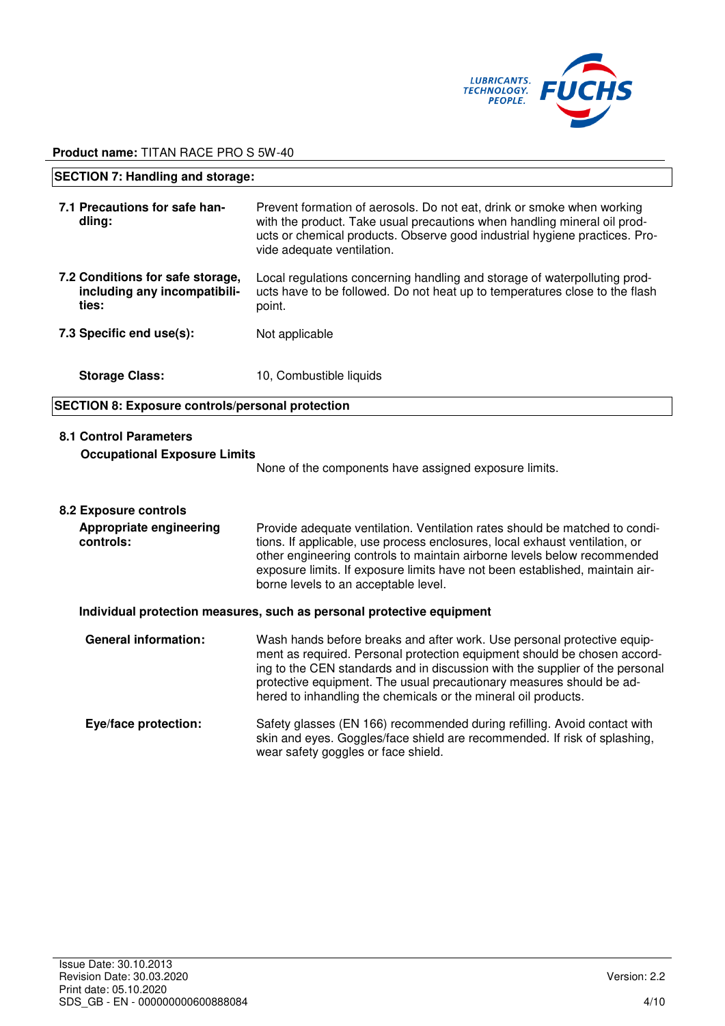

| <b>SECTION 7: Handling and storage:</b>                                   |                                                                                                                                                                                                                                                                |
|---------------------------------------------------------------------------|----------------------------------------------------------------------------------------------------------------------------------------------------------------------------------------------------------------------------------------------------------------|
| 7.1 Precautions for safe han-<br>dling:                                   | Prevent formation of aerosols. Do not eat, drink or smoke when working<br>with the product. Take usual precautions when handling mineral oil prod-<br>ucts or chemical products. Observe good industrial hygiene practices. Pro-<br>vide adequate ventilation. |
| 7.2 Conditions for safe storage,<br>including any incompatibili-<br>ties: | Local regulations concerning handling and storage of waterpolluting prod-<br>ucts have to be followed. Do not heat up to temperatures close to the flash<br>point.                                                                                             |
| 7.3 Specific end use(s):                                                  | Not applicable                                                                                                                                                                                                                                                 |
| <b>Storage Class:</b>                                                     | 10, Combustible liquids                                                                                                                                                                                                                                        |
| <b>SECTION 8: Exposure controls/personal protection</b>                   |                                                                                                                                                                                                                                                                |
|                                                                           |                                                                                                                                                                                                                                                                |

## **8.1 Control Parameters**

#### **Occupational Exposure Limits**

None of the components have assigned exposure limits.

#### **8.2 Exposure controls**

| Appropriate engineering<br>controls: | Provide adequate ventilation. Ventilation rates should be matched to condi-<br>tions. If applicable, use process enclosures, local exhaust ventilation, or<br>other engineering controls to maintain airborne levels below recommended<br>exposure limits. If exposure limits have not been established, maintain air-<br>borne levels to an acceptable level. |
|--------------------------------------|----------------------------------------------------------------------------------------------------------------------------------------------------------------------------------------------------------------------------------------------------------------------------------------------------------------------------------------------------------------|
|                                      |                                                                                                                                                                                                                                                                                                                                                                |

#### **Individual protection measures, such as personal protective equipment**

| <b>General information:</b> | Wash hands before breaks and after work. Use personal protective equip-<br>ment as required. Personal protection equipment should be chosen accord-<br>ing to the CEN standards and in discussion with the supplier of the personal<br>protective equipment. The usual precautionary measures should be ad-<br>hered to inhandling the chemicals or the mineral oil products. |
|-----------------------------|-------------------------------------------------------------------------------------------------------------------------------------------------------------------------------------------------------------------------------------------------------------------------------------------------------------------------------------------------------------------------------|
| Eye/face protection:        | Safety glasses (EN 166) recommended during refilling. Avoid contact with<br>skin and eyes. Goggles/face shield are recommended. If risk of splashing,<br>wear safety goggles or face shield.                                                                                                                                                                                  |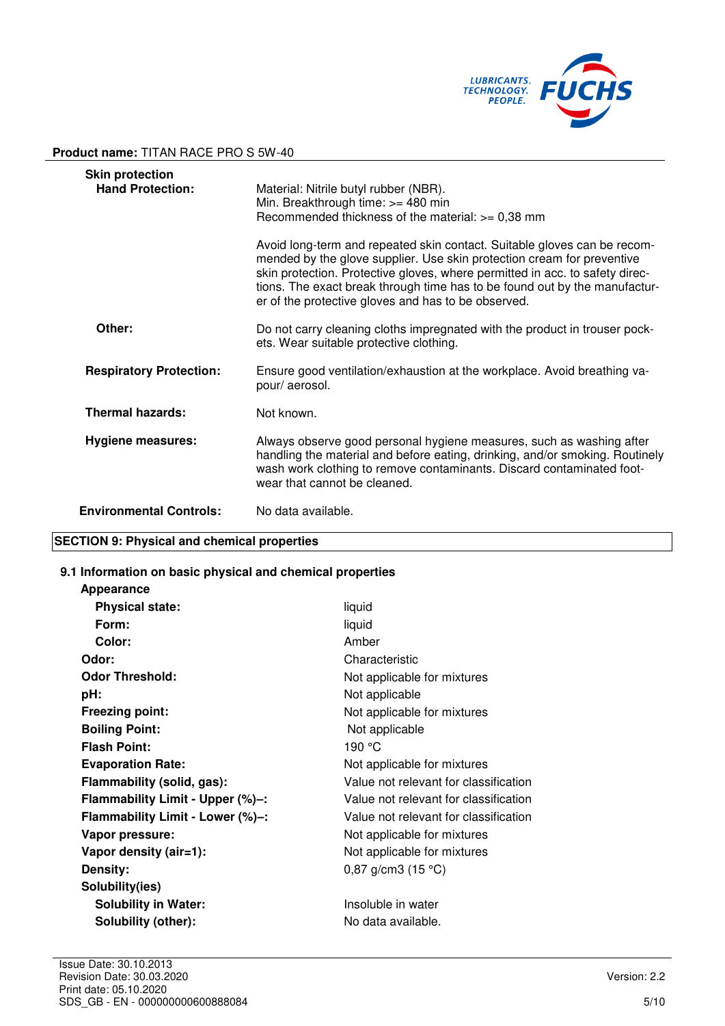

| <b>Skin protection</b><br><b>Hand Protection:</b> | Material: Nitrile butyl rubber (NBR).<br>Min. Breakthrough time: >= 480 min<br>Recommended thickness of the material: $>= 0,38$ mm                                                                                                                                                                                                                                      |
|---------------------------------------------------|-------------------------------------------------------------------------------------------------------------------------------------------------------------------------------------------------------------------------------------------------------------------------------------------------------------------------------------------------------------------------|
|                                                   | Avoid long-term and repeated skin contact. Suitable gloves can be recom-<br>mended by the glove supplier. Use skin protection cream for preventive<br>skin protection. Protective gloves, where permitted in acc. to safety direc-<br>tions. The exact break through time has to be found out by the manufactur-<br>er of the protective gloves and has to be observed. |
| Other:                                            | Do not carry cleaning cloths impregnated with the product in trouser pock-<br>ets. Wear suitable protective clothing.                                                                                                                                                                                                                                                   |
| <b>Respiratory Protection:</b>                    | Ensure good ventilation/exhaustion at the workplace. Avoid breathing va-<br>pour/ aerosol.                                                                                                                                                                                                                                                                              |
| <b>Thermal hazards:</b>                           | Not known.                                                                                                                                                                                                                                                                                                                                                              |
| <b>Hygiene measures:</b>                          | Always observe good personal hygiene measures, such as washing after<br>handling the material and before eating, drinking, and/or smoking. Routinely<br>wash work clothing to remove contaminants. Discard contaminated foot-<br>wear that cannot be cleaned.                                                                                                           |
| <b>Environmental Controls:</b>                    | No data available.                                                                                                                                                                                                                                                                                                                                                      |

## **SECTION 9: Physical and chemical properties**

#### **9.1 Information on basic physical and chemical properties**

| <b>Appearance</b>                |                                       |
|----------------------------------|---------------------------------------|
| <b>Physical state:</b>           | liquid                                |
| Form:                            | liquid                                |
| Color:                           | Amber                                 |
| Odor:                            | Characteristic                        |
| <b>Odor Threshold:</b>           | Not applicable for mixtures           |
| pH:                              | Not applicable                        |
| <b>Freezing point:</b>           | Not applicable for mixtures           |
| <b>Boiling Point:</b>            | Not applicable                        |
| <b>Flash Point:</b>              | 190 °C                                |
| <b>Evaporation Rate:</b>         | Not applicable for mixtures           |
| Flammability (solid, gas):       | Value not relevant for classification |
| Flammability Limit - Upper (%)-: | Value not relevant for classification |
| Flammability Limit - Lower (%)-: | Value not relevant for classification |
| Vapor pressure:                  | Not applicable for mixtures           |
| Vapor density (air=1):           | Not applicable for mixtures           |
| Density:                         | 0,87 g/cm3 $(15 °C)$                  |
| Solubility(ies)                  |                                       |
| <b>Solubility in Water:</b>      | Insoluble in water                    |
| Solubility (other):              | No data available.                    |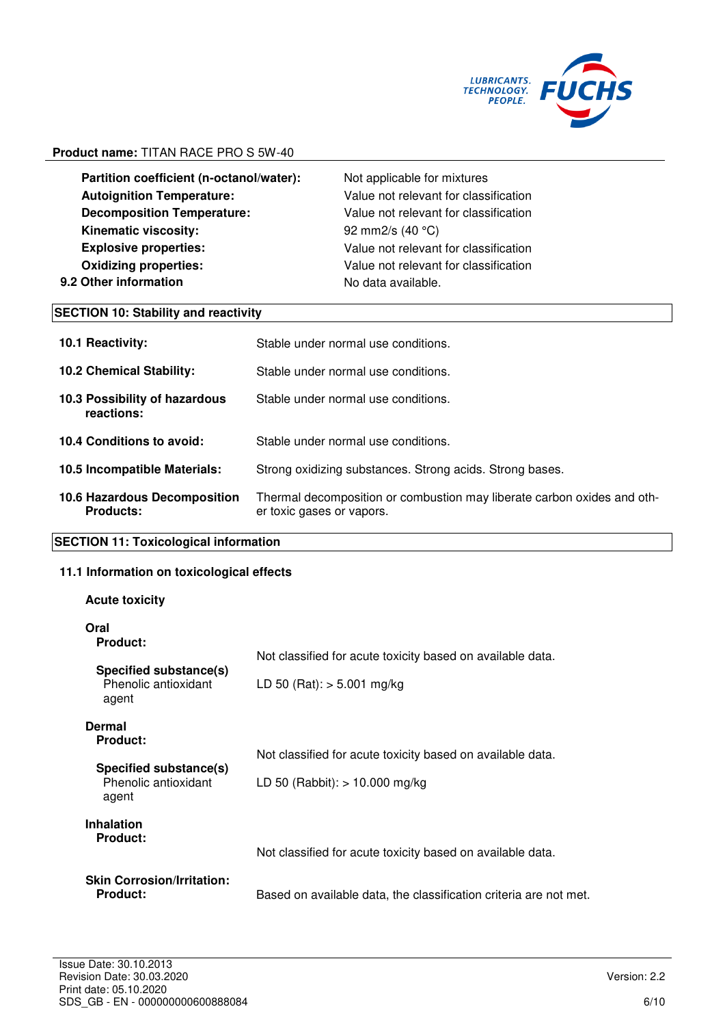

**Partition coefficient (n-octanol/water):** Not applicable for mixtures **Autoignition Temperature:** Value not relevant for classification **Decomposition Temperature:** Value not relevant for classification **Kinematic viscosity:** 92 mm2/s (40 °C) **Explosive properties:** Value not relevant for classification **Oxidizing properties:** Value not relevant for classification **9.2 Other information No data available.** 

#### **SECTION 10: Stability and reactivity**

| <b>10.1 Reactivity:</b>                                 | Stable under normal use conditions.                                                                  |
|---------------------------------------------------------|------------------------------------------------------------------------------------------------------|
| <b>10.2 Chemical Stability:</b>                         | Stable under normal use conditions.                                                                  |
| 10.3 Possibility of hazardous<br>reactions:             | Stable under normal use conditions.                                                                  |
| 10.4 Conditions to avoid:                               | Stable under normal use conditions.                                                                  |
| 10.5 Incompatible Materials:                            | Strong oxidizing substances. Strong acids. Strong bases.                                             |
| <b>10.6 Hazardous Decomposition</b><br><b>Products:</b> | Thermal decomposition or combustion may liberate carbon oxides and oth-<br>er toxic gases or vapors. |

#### **SECTION 11: Toxicological information**

#### **11.1 Information on toxicological effects**

#### **Acute toxicity**

**Oral** 

| Ural<br><b>Product:</b>                                 |                                                                   |
|---------------------------------------------------------|-------------------------------------------------------------------|
|                                                         | Not classified for acute toxicity based on available data.        |
| Specified substance(s)<br>Phenolic antioxidant<br>agent | LD 50 (Rat): $>$ 5.001 mg/kg                                      |
| Dermal<br><b>Product:</b>                               |                                                                   |
|                                                         | Not classified for acute toxicity based on available data.        |
| Specified substance(s)<br>Phenolic antioxidant<br>agent | LD 50 (Rabbit): $> 10.000$ mg/kg                                  |
| <b>Inhalation</b>                                       |                                                                   |
| <b>Product:</b>                                         | Not classified for acute toxicity based on available data.        |
| <b>Skin Corrosion/Irritation:</b><br>Product:           | Based on available data, the classification criteria are not met. |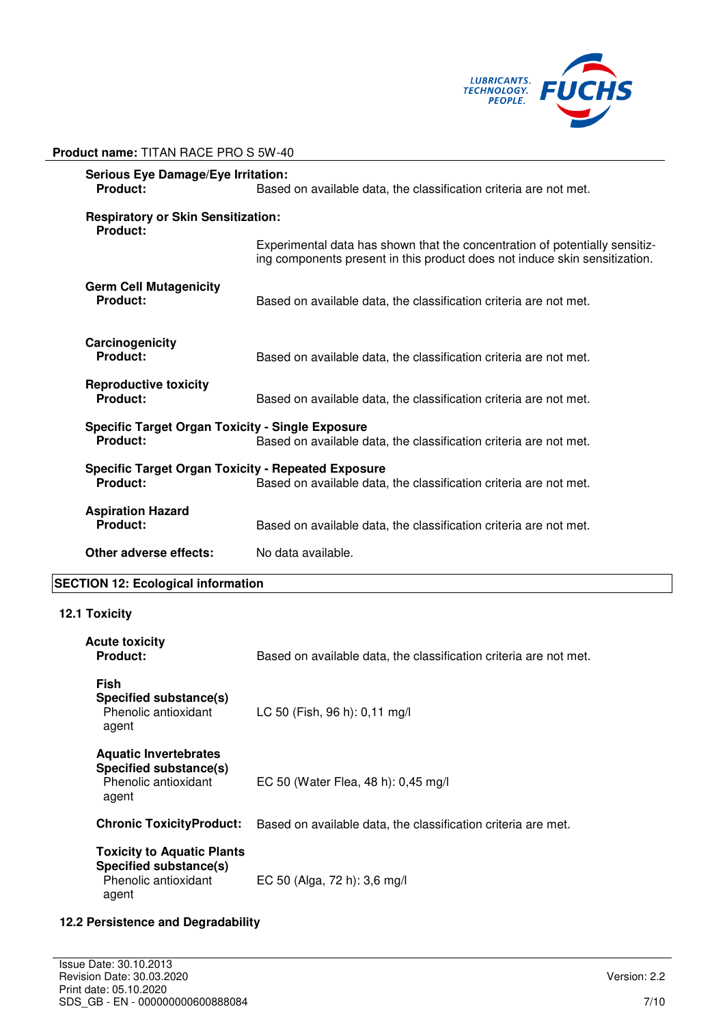

| <b>Serious Eye Damage/Eye Irritation:</b><br>Product:<br>Based on available data, the classification criteria are not met.                 |                                                                                                                                                           |
|--------------------------------------------------------------------------------------------------------------------------------------------|-----------------------------------------------------------------------------------------------------------------------------------------------------------|
| <b>Respiratory or Skin Sensitization:</b><br>Product:                                                                                      |                                                                                                                                                           |
|                                                                                                                                            | Experimental data has shown that the concentration of potentially sensitiz-<br>ing components present in this product does not induce skin sensitization. |
| <b>Germ Cell Mutagenicity</b><br>Product:                                                                                                  | Based on available data, the classification criteria are not met.                                                                                         |
| Carcinogenicity<br>Product:                                                                                                                | Based on available data, the classification criteria are not met.                                                                                         |
| <b>Reproductive toxicity</b><br>Product:                                                                                                   | Based on available data, the classification criteria are not met.                                                                                         |
| <b>Specific Target Organ Toxicity - Single Exposure</b><br>Product:<br>Based on available data, the classification criteria are not met.   |                                                                                                                                                           |
| <b>Specific Target Organ Toxicity - Repeated Exposure</b><br>Product:<br>Based on available data, the classification criteria are not met. |                                                                                                                                                           |
| <b>Aspiration Hazard</b><br>Product:                                                                                                       | Based on available data, the classification criteria are not met.                                                                                         |
| Other adverse effects:                                                                                                                     | No data available.                                                                                                                                        |

## **SECTION 12: Ecological information**

**Product name:** TITAN RACE PRO S 5W-40

## **12.1 Toxicity**

| Acute toxicity<br><b>Product:</b>                                                            | Based on available data, the classification criteria are not met. |
|----------------------------------------------------------------------------------------------|-------------------------------------------------------------------|
| Fish<br>Specified substance(s)<br>Phenolic antioxidant<br>agent                              | LC 50 (Fish, 96 h): 0,11 mg/l                                     |
| <b>Aquatic Invertebrates</b><br>Specified substance(s)<br>Phenolic antioxidant<br>agent      | EC 50 (Water Flea, 48 h): 0,45 mg/l                               |
| <b>Chronic ToxicityProduct:</b>                                                              | Based on available data, the classification criteria are met.     |
| <b>Toxicity to Aquatic Plants</b><br>Specified substance(s)<br>Phenolic antioxidant<br>agent | EC 50 (Alga, 72 h): 3,6 mg/l                                      |

### **12.2 Persistence and Degradability**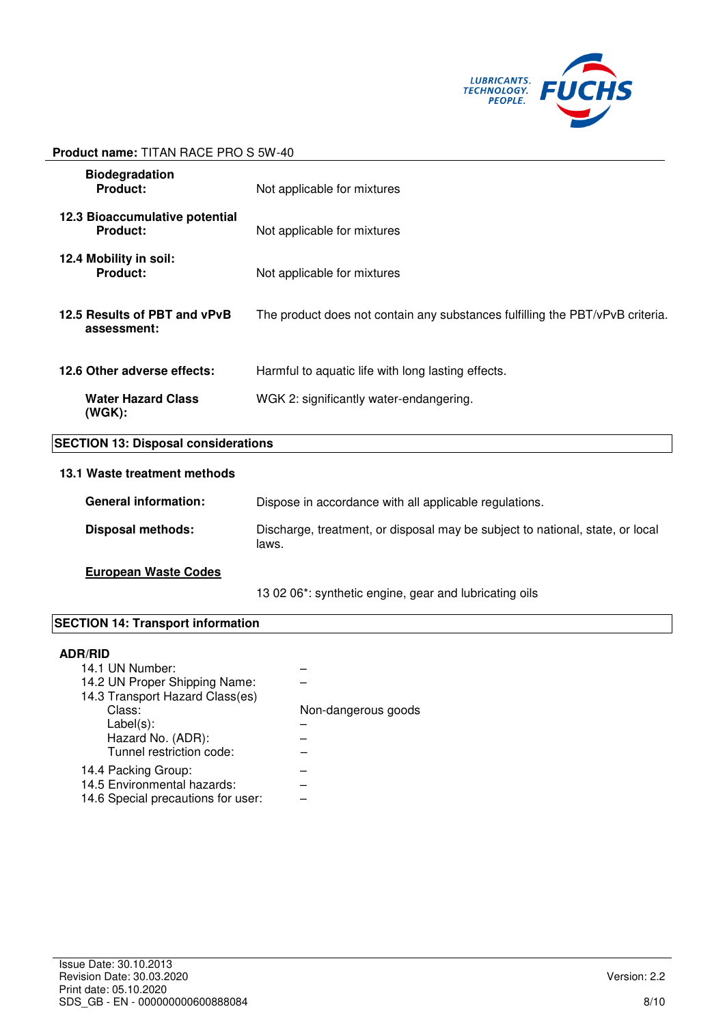

| <b>Biodegradation</b><br>Product:           | Not applicable for mixtures                                                            |
|---------------------------------------------|----------------------------------------------------------------------------------------|
| 12.3 Bioaccumulative potential<br>Product:  | Not applicable for mixtures                                                            |
| 12.4 Mobility in soil:<br>Product:          | Not applicable for mixtures                                                            |
| 12.5 Results of PBT and vPvB<br>assessment: | The product does not contain any substances fulfilling the PBT/vPvB criteria.          |
| 12.6 Other adverse effects:                 | Harmful to aquatic life with long lasting effects.                                     |
| <b>Water Hazard Class</b><br>$(WGK)$ :      | WGK 2: significantly water-endangering.                                                |
| <b>SECTION 13: Disposal considerations</b>  |                                                                                        |
| 13.1 Waste treatment methods                |                                                                                        |
| <b>General information:</b>                 | Dispose in accordance with all applicable regulations.                                 |
| <b>Disposal methods:</b>                    | Discharge, treatment, or disposal may be subject to national, state, or local<br>laws. |
| <b>European Waste Codes</b>                 |                                                                                        |

13 02 06\*: synthetic engine, gear and lubricating oils

## **SECTION 14: Transport information**

#### **ADR/RID**

| 14.1 UN Number:                    |                     |
|------------------------------------|---------------------|
| 14.2 UN Proper Shipping Name:      |                     |
| 14.3 Transport Hazard Class(es)    |                     |
| Class:                             | Non-dangerous goods |
| $Label(s)$ :                       |                     |
| Hazard No. (ADR):                  |                     |
| Tunnel restriction code:           |                     |
| 14.4 Packing Group:                |                     |
| 14.5 Environmental hazards:        |                     |
| 14.6 Special precautions for user: |                     |
|                                    |                     |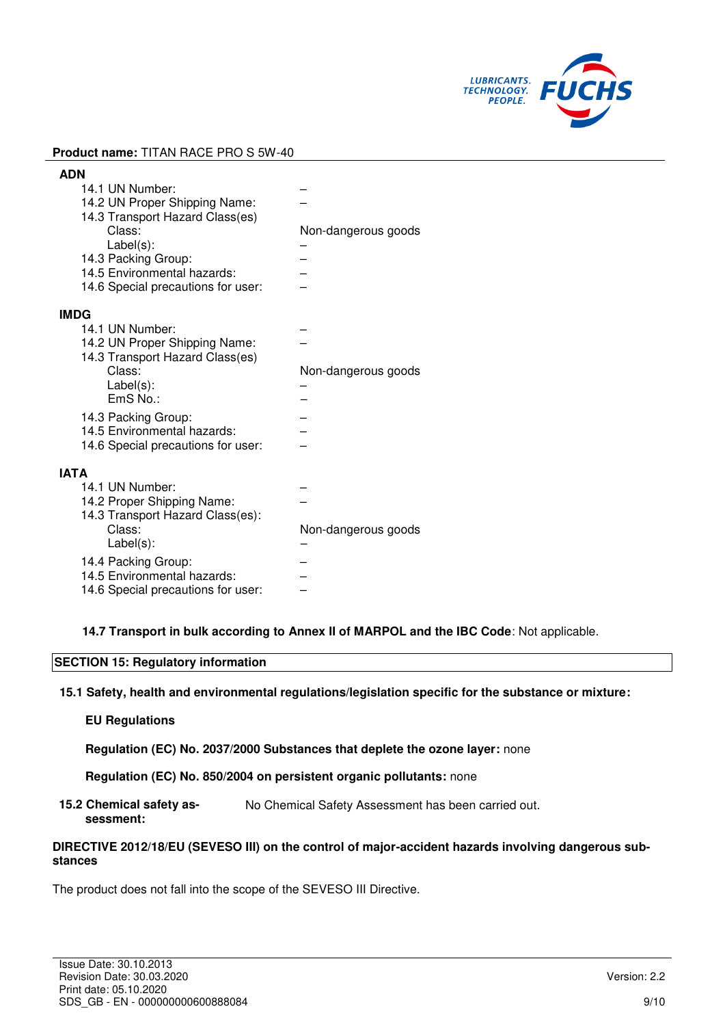

| <b>ADN</b>                         |                     |
|------------------------------------|---------------------|
| 14.1 UN Number:                    |                     |
| 14.2 UN Proper Shipping Name:      |                     |
| 14.3 Transport Hazard Class(es)    |                     |
| Class:                             | Non-dangerous goods |
| $Label(s)$ :                       |                     |
| 14.3 Packing Group:                |                     |
| 14.5 Environmental hazards:        |                     |
| 14.6 Special precautions for user: |                     |
| <b>IMDG</b>                        |                     |
| 14.1 UN Number:                    |                     |
| 14.2 UN Proper Shipping Name:      |                     |
| 14.3 Transport Hazard Class(es)    |                     |
| Class:                             | Non-dangerous goods |
| $Label(s)$ :                       |                     |
| $EmS$ No.:                         |                     |
| 14.3 Packing Group:                |                     |
| 14.5 Environmental hazards:        |                     |
| 14.6 Special precautions for user: |                     |
|                                    |                     |
| <b>IATA</b>                        |                     |
| 14.1 UN Number:                    |                     |
| 14.2 Proper Shipping Name:         |                     |
| 14.3 Transport Hazard Class(es):   |                     |
| Class:                             | Non-dangerous goods |
| $Label(s)$ :                       |                     |
| 14.4 Packing Group:                |                     |
| 14.5 Environmental hazards:        |                     |
| 14.6 Special precautions for user: |                     |

**14.7 Transport in bulk according to Annex II of MARPOL and the IBC Code**: Not applicable.

#### **SECTION 15: Regulatory information**

**15.1 Safety, health and environmental regulations/legislation specific for the substance or mixture:**

#### **EU Regulations**

**Regulation (EC) No. 2037/2000 Substances that deplete the ozone layer:** none

**Regulation (EC) No. 850/2004 on persistent organic pollutants:** none

**15.2 Chemical safety assessment:**  No Chemical Safety Assessment has been carried out.

#### **DIRECTIVE 2012/18/EU (SEVESO III) on the control of major-accident hazards involving dangerous substances**

The product does not fall into the scope of the SEVESO III Directive.